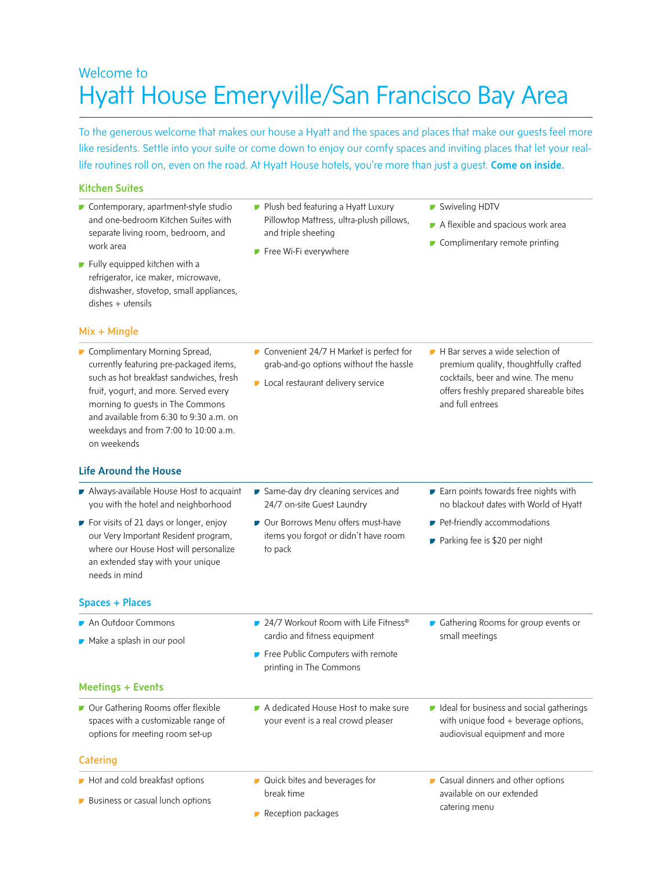# Welcome to Hyatt House Emeryville/San Francisco Bay Area

To the generous welcome that makes our house a Hyatt and the spaces and places that make our guests feel more like residents. Settle into your suite or come down to enjoy our comfy spaces and inviting places that let your reallife routines roll on, even on the road. At Hyatt House hotels, you're more than just a quest. Come on inside.

### Kitchen Suites

- Contemporary, apartment-style studio and one-bedroom Kitchen Suites with separate living room, bedroom, and work area
- **Fully equipped kitchen with a** refrigerator, ice maker, microwave, dishwasher, stovetop, small appliances, dishes + utensils

# Mix + Mingle

Complimentary Morning Spread, currently featuring pre-packaged items, such as hot breakfast sandwiches, fresh fruit, yogurt, and more. Served every morning to guests in The Commons and available from 6:30 to 9:30 a.m. on weekdays and from 7:00 to 10:00 a.m. on weekends

# Life Around the House

- Always-available House Host to acquaint you with the hotel and neighborhood
- For visits of 21 days or longer, enjoy our Very Important Resident program, where our House Host will personalize an extended stay with your unique needs in mind

#### Spaces + Places

- **Plush bed featuring a Hyatt Luxury** Pillowtop Mattress, ultra-plush pillows, and triple sheeting
- **Free Wi-Fi everywhere**
- Swiveling HDTV
- A flexible and spacious work area
- Complimentary remote printing

- Convenient 24/7 H Market is perfect for grab-and-go options without the hassle
- **Local restaurant delivery service**
- H Bar serves a wide selection of premium quality, thoughtfully crafted cocktails, beer and wine. The menu offers freshly prepared shareable bites and full entrees
- Same-day dry cleaning services and 24/7 on-site Guest Laundry
- Our Borrows Menu offers must-have items you forgot or didn't have room to pack
- Earn points towards free nights with no blackout dates with World of Hyatt

Gathering Rooms for group events or

 $\blacksquare$  Ideal for business and social gatherings with unique food + beverage options, audiovisual equipment and more

- Pet-friendly accommodations
- Parking fee is \$20 per night

small meetings

- 24/7 Workout Room with Life Fitness<sup>®</sup> cardio and fitness equipment
	- **Free Public Computers with remote** printing in The Commons
- Meetings + Events

An Outdoor Commons Make a splash in our pool

Our Gathering Rooms offer flexible spaces with a customizable range of options for meeting room set-up

# **Catering**

- Hot and cold breakfast options
- **Business or casual lunch options**
- A dedicated House Host to make sure your event is a real crowd pleaser
- Quick bites and beverages for break time
- Reception packages

**Casual dinners and other options** available on our extended catering menu